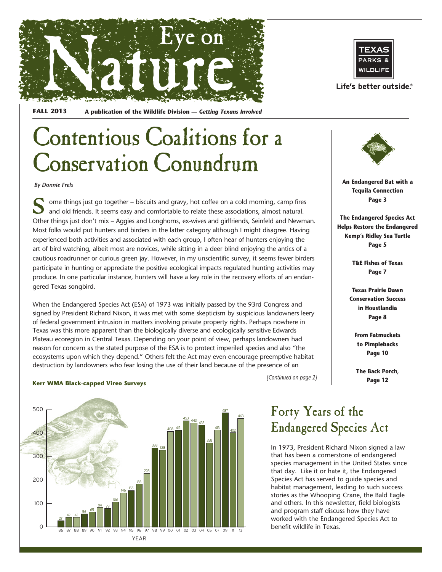



## Contentious Coalitions for a Conservation Conundrum

*By Donnie Frels*

ome things just go together – biscuits and gravy, hot coffee on a cold morning, camp fires and old friends. It seems easy and comfortable to relate these associations, almost natural. Other things just don't mix – Aggies and Longhorns, ex-wives and girlfriends, Seinfeld and Newman. Most folks would put hunters and birders in the latter category although I might disagree. Having experienced both activities and associated with each group, I often hear of hunters enjoying the art of bird watching, albeit most are novices, while sitting in a deer blind enjoying the antics of a cautious roadrunner or curious green jay. However, in my unscientific survey, it seems fewer birders participate in hunting or appreciate the positive ecological impacts regulated hunting activities may produce. In one particular instance, hunters will have a key role in the recovery efforts of an endangered Texas songbird.

When the Endangered Species Act (ESA) of 1973 was initially passed by the 93rd Congress and signed by President Richard Nixon, it was met with some skepticism by suspicious landowners leery of federal government intrusion in matters involving private property rights. Perhaps nowhere in Texas was this more apparent than the biologically diverse and ecologically sensitive Edwards Plateau ecoregion in Central Texas. Depending on your point of view, perhaps landowners had reason for concern as the stated purpose of the ESA is to protect imperiled species and also "the ecosystems upon which they depend." Others felt the Act may even encourage preemptive habitat destruction by landowners who fear losing the use of their land because of the presence of an

#### **Kerr WMA Black-capped Vireo Surveys**





Life's better outside.®



**An Endangered Bat with a Tequila Connection Page 3**

**The Endangered Species Act Helps Restore the Endangered Kemp's Ridley Sea Turtle Page 5**

> **T&E Fishes of Texas Page 7**

**Texas Prairie Dawn Conservation Success in Houstlandia Page 8**

> **From Fatmuckets to Pimplebacks Page 10**

**The Back Porch, Page 12**

*[Continued on page 2]*

### Forty Years of the Endangered Species Act

In 1973, President Richard Nixon signed a law that has been a cornerstone of endangered species management in the United States since that day. Like it or hate it, the Endangered Species Act has served to guide species and habitat management, leading to such success stories as the Whooping Crane, the Bald Eagle and others. In this newsletter, field biologists and program staff discuss how they have worked with the Endangered Species Act to benefit wildlife in Texas.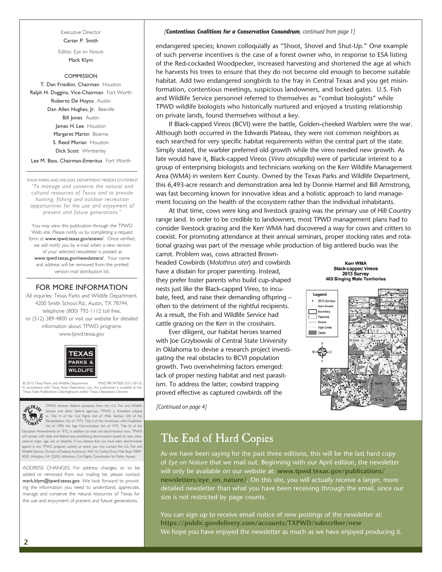Executive Director Carter P. Smith

Editor, *Eye on Nature* Mark Klym

COMMISSION T. Dan Friedkin, Chairman Houston Ralph H. Duggins, Vice-Chairman Fort Worth Roberto De Hoyos Austin Dan Allen Hughes, Jr. Beeville **Bill Jones** Austin James H. Lee Houston Margaret Martin Boerne S. Reed Morian Houston Dick Scott Wimberley

Lee M. Bass, Chairman-Emeritus Fort Worth

TEXAS PARKS AND WILDLIFE DEPARTMENT MISSION STATEMENT *"To manage and conserve the natural and cultural resources of Texas and to provide hunting, fishing and outdoor recreation opportunities for the use and enjoyment of present and future generations."*

You may view this publication through the TPWD Web site. Please notify us by completing a request form at www.tpwd.texas.gov/enews/. Once verified, we will notify you by e-mail when a new version of your selected newsletter is posted at www.tpwd.texas.gov/newsletters/. Your name and address will be removed from the printed version mail distribution list.

### FOR MORE INFORMATION

All inquiries: Texas Parks and Wildlife Department, 4200 Smith School Rd., Austin, TX 78744, telephone (800) 792-1112 toll free, or (512) 389-4800 or visit our website for detailed information about TPWD programs: www.tpwd.texas.gov



© 2013 Texas Parks and Wildlife Department PWD BR W7000-255 (10/13) In accordance with Texas State Depository Law, this publication is available at the Texas State Publications Clearinghouse and/or Texas Depository Libraries.



TPWD receives federal assistance from the U.S. Fish and Wildlife<br>Service and other federal agencies. TPWD is therefore subject<br>to Title VI of the Civil Rights Act of 1964, Section 504 of the<br>Rehabilitation Act of 1973, Tit Act of 1990, the Age Discrimination Act of 1975, Title IX of the

Education Amendments of 1972, in addition to state anti-discrimination laws. TPWD will comply with state and federal laws prohibiting discrimination based on race, color, national origin, age, sex or disability. If you believe that you have been discriminated against in any TPWD program, activity or event, you may contact the U.S. Fish and Wildlife Service, Division of Federal Assistance, 4401 N. Fairfax Drive, Mail Stop: MBSP-4020, Arlington, VA 22203, Attention: Civil Rights Coordinator for Public Access.

ADDRESS CHANGES: For address changes, or to be added or removed from our mailing list, please contact mark.klym@tpwd.texas.gov. We look forward to providing the information you need to understand, appreciate, manage and conserve the natural resources of Texas for the use and enjoyment of present and future generations.

#### *[Contentious Coalitions for a Conservation Conundrum, continued from page 1]*

endangered species; known colloquially as "Shoot, Shovel and Shut-Up." One example of such perverse incentives is the case of a forest owner who, in response to ESA listing of the Red-cockaded Woodpecker, increased harvesting and shortened the age at which he harvests his trees to ensure that they do not become old enough to become suitable habitat. Add two endangered songbirds to the fray in Central Texas and you get misinformation, contentious meetings, suspicious landowners, and locked gates. U.S. Fish and Wildlife Service personnel referred to themselves as "combat biologists" while TPWD wildlife biologists who historically nurtured and enjoyed a trusting relationship on private lands, found themselves without a key.

If Black-capped Vireos (BCVI) were the battle, Golden-cheeked Warblers were the war. Although both occurred in the Edwards Plateau, they were not common neighbors as each searched for very specific habitat requirements within the central part of the state. Simply stated, the warbler preferred old growth while the vireo needed new growth. As fate would have it, Black-capped Vireos (*Vireo atricapilla*) were of particular interest to a group of enterprising biologists and technicians working on the Kerr Wildlife Management Area (WMA) in western Kerr County. Owned by the Texas Parks and Wildlife Department, this 6,493-acre research and demonstration area led by Donnie Harmel and Bill Armstrong, was fast becoming known for innovative ideas and a holistic approach to land management focusing on the health of the ecosystem rather than the individual inhabitants.

At that time, cows were king and livestock grazing was the primary use of Hill Country range land. In order to be credible to landowners, most TPWD management plans had to consider livestock grazing and the Kerr WMA had discovered a way for cows and critters to coexist. For promoting attendance at their annual seminars, proper stocking rates and rotational grazing was part of the message while production of big antlered bucks was the

carrot. Problem was, cows attracted Brownheaded Cowbirds (*Molothrus ater*) and cowbirds have a disdain for proper parenting. Instead, they prefer foster parents who build cup-shaped nests just like the Black-capped Vireo, to incubate, feed, and raise their demanding offspring – often to the detriment of the rightful recipients. As a result, the Fish and Wildlife Service had cattle grazing on the Kerr in the crosshairs.

Ever diligent, our habitat heroes teamed with Joe Grzybowski of Central State University in Oklahoma to devise a research project investigating the real obstacles to BCVI population growth. Two overwhelming factors emerged: lack of proper nesting habitat and nest parasitism. To address the latter, cowbird trapping proved effective as captured cowbirds off the

*[Continued on page 4]*



**Kerr WMA** 



### The End of Hard Copies

As we have been saying for the past three editions, this will be the last hard copy of *Eye on Nature* that we mail out. Beginning with our April edition, the newsletter will only be available on our website at: **www.tpwd.texas.gov/publications/ newsletters/eye\_on\_nature/.** On this site, you will actually receive a larger, more detailed newsletter than what you have been receiving through the email, since our size is not restricted by page counts.

You can sign up to receive email notice of new postings of the newsletter at: **https://public.govdelivery.com/accounts/TXPWD/subscriber/new** We hope you have enjoyed the newsletter as much as we have enjoyed producing it.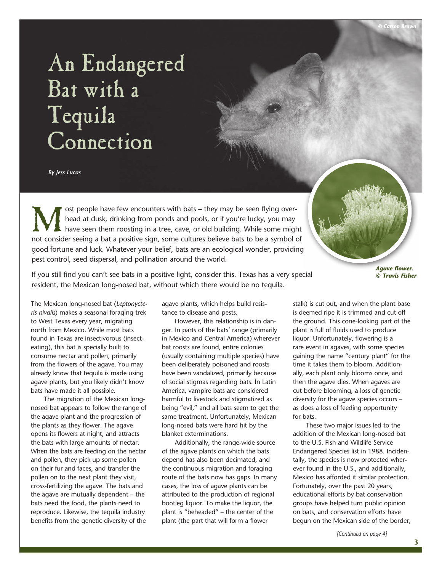## An Endangered Bat with a Tequila Connection

*By Jess Lucas*

Solve that they may be seen flying over-<br>
Most people have few encounters with bats – they may be seen flying over-<br>
have seen them roosting in a tree, cave, or old building. While some might<br>
not consider seeing a bat a p head at dusk, drinking from ponds and pools, or if you're lucky, you may have seen them roosting in a tree, cave, or old building. While some might not consider seeing a bat a positive sign, some cultures believe bats to be a symbol of good fortune and luck. Whatever your belief, bats are an ecological wonder, providing pest control, seed dispersal, and pollination around the world.

*Agave flower. © Travis Fisher*

If you still find you can't see bats in a positive light, consider this. Texas has a very special resident, the Mexican long-nosed bat, without which there would be no tequila.

The Mexican long-nosed bat (*Leptonycteris nivalis*) makes a seasonal foraging trek to West Texas every year, migrating north from Mexico. While most bats found in Texas are insectivorous (insecteating), this bat is specially built to consume nectar and pollen, primarily from the flowers of the agave. You may already know that tequila is made using agave plants, but you likely didn't know bats have made it all possible.

The migration of the Mexican longnosed bat appears to follow the range of the agave plant and the progression of the plants as they flower. The agave opens its flowers at night, and attracts the bats with large amounts of nectar. When the bats are feeding on the nectar and pollen, they pick up some pollen on their fur and faces, and transfer the pollen on to the next plant they visit, cross-fertilizing the agave. The bats and the agave are mutually dependent – the bats need the food, the plants need to reproduce. Likewise, the tequila industry benefits from the genetic diversity of the agave plants, which helps build resistance to disease and pests.

However, this relationship is in danger. In parts of the bats' range (primarily in Mexico and Central America) wherever bat roosts are found, entire colonies (usually containing multiple species) have been deliberately poisoned and roosts have been vandalized, primarily because of social stigmas regarding bats. In Latin America, vampire bats are considered harmful to livestock and stigmatized as being "evil," and all bats seem to get the same treatment. Unfortunately, Mexican long-nosed bats were hard hit by the blanket exterminations.

Additionally, the range-wide source of the agave plants on which the bats depend has also been decimated, and the continuous migration and foraging route of the bats now has gaps. In many cases, the loss of agave plants can be attributed to the production of regional bootleg liquor. To make the liquor, the plant is "beheaded" – the center of the plant (the part that will form a flower

stalk) is cut out, and when the plant base is deemed ripe it is trimmed and cut off the ground. This cone-looking part of the plant is full of fluids used to produce liquor. Unfortunately, flowering is a rare event in agaves, with some species gaining the name "century plant" for the time it takes them to bloom. Additionally, each plant only blooms once, and then the agave dies. When agaves are cut before blooming, a loss of genetic diversity for the agave species occurs – as does a loss of feeding opportunity for bats.

These two major issues led to the addition of the Mexican long-nosed bat to the U.S. Fish and Wildlife Service Endangered Species list in 1988. Incidentally, the species is now protected wherever found in the U.S., and additionally, Mexico has afforded it similar protection. Fortunately, over the past 20 years, educational efforts by bat conservation groups have helped turn public opinion on bats, and conservation efforts have begun on the Mexican side of the border,

*[Continued on page 4]*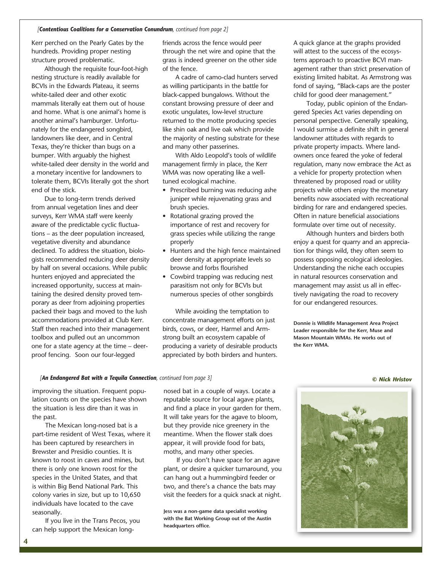#### *[Contentious Coalitions for a Conservation Conundrum, continued from page 2]*

Kerr perched on the Pearly Gates by the hundreds. Providing proper nesting structure proved problematic.

Although the requisite four-foot-high nesting structure is readily available for BCVIs in the Edwards Plateau, it seems white-tailed deer and other exotic mammals literally eat them out of house and home. What is one animal's home is another animal's hamburger. Unfortunately for the endangered songbird, landowners like deer, and in Central Texas, they're thicker than bugs on a bumper. With arguably the highest white-tailed deer density in the world and a monetary incentive for landowners to tolerate them, BCVIs literally got the short end of the stick.

Due to long-term trends derived from annual vegetation lines and deer surveys, Kerr WMA staff were keenly aware of the predictable cyclic fluctuations – as the deer population increased, vegetative diversity and abundance declined. To address the situation, biologists recommended reducing deer density by half on several occasions. While public hunters enjoyed and appreciated the increased opportunity, success at maintaining the desired density proved temporary as deer from adjoining properties packed their bags and moved to the lush accommodations provided at Club Kerr. Staff then reached into their management toolbox and pulled out an uncommon one for a state agency at the time – deerproof fencing. Soon our four-legged

friends across the fence would peer through the net wire and opine that the grass is indeed greener on the other side of the fence.

A cadre of camo-clad hunters served as willing participants in the battle for black-capped bungalows. Without the constant browsing pressure of deer and exotic ungulates, low-level structure returned to the motte producing species like shin oak and live oak which provide the majority of nesting substrate for these and many other passerines.

With Aldo Leopold's tools of wildlife management firmly in place, the Kerr WMA was now operating like a welltuned ecological machine.

- • Prescribed burning was reducing ashe juniper while rejuvenating grass and brush species.
- Rotational grazing proved the importance of rest and recovery for grass species while utilizing the range properly
- • Hunters and the high fence maintained deer density at appropriate levels so browse and forbs flourished
- Cowbird trapping was reducing nest parasitism not only for BCVIs but numerous species of other songbirds

While avoiding the temptation to concentrate management efforts on just birds, cows, or deer, Harmel and Armstrong built an ecosystem capable of producing a variety of desirable products appreciated by both birders and hunters.

A quick glance at the graphs provided will attest to the success of the ecosystems approach to proactive BCVI management rather than strict preservation of existing limited habitat. As Armstrong was fond of saying, "Black-caps are the poster child for good deer management."

Today, public opinion of the Endangered Species Act varies depending on personal perspective. Generally speaking, I would surmise a definite shift in general landowner attitudes with regards to private property impacts. Where landowners once feared the yoke of federal regulation, many now embrace the Act as a vehicle for property protection when threatened by proposed road or utility projects while others enjoy the monetary benefits now associated with recreational birding for rare and endangered species. Often in nature beneficial associations formulate over time out of necessity.

Although hunters and birders both enjoy a quest for quarry and an appreciation for things wild, they often seem to possess opposing ecological ideologies. Understanding the niche each occupies in natural resources conservation and management may assist us all in effectively navigating the road to recovery for our endangered resources.

**Donnie is Wildlife Management Area Project Leader responsible for the Kerr, Muse and Mason Mountain WMAs. He works out of the Kerr WMA.** 

### *[An Endangered Bat with a Tequila Connection, continued from page 3] © Nick Hristov*

improving the situation. Frequent population counts on the species have shown the situation is less dire than it was in the past.

The Mexican long-nosed bat is a part-time resident of West Texas, where it has been captured by researchers in Brewster and Presidio counties. It is known to roost in caves and mines, but there is only one known roost for the species in the United States, and that is within Big Bend National Park. This colony varies in size, but up to 10,650 individuals have located to the cave seasonally.

If you live in the Trans Pecos, you can help support the Mexican longnosed bat in a couple of ways. Locate a reputable source for local agave plants, and find a place in your garden for them. It will take years for the agave to bloom, but they provide nice greenery in the meantime. When the flower stalk does appear, it will provide food for bats, moths, and many other species.

If you don't have space for an agave plant, or desire a quicker turnaround, you can hang out a hummingbird feeder or two, and there's a chance the bats may visit the feeders for a quick snack at night.

**Jess was a non-game data specialist working with the Bat Working Group out of the Austin headquarters office.**



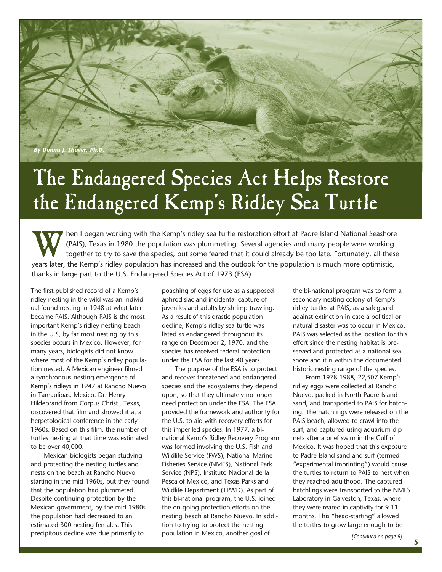

## The Endangered Species Act Helps Restore the Endangered Kemp's Ridley Sea Turtle

Then I began working with the Kemp's ridley sea turtle restoration effort at Padre Island National Seashore<br>(PAIS), Texas in 1980 the population was plummeting. Several agencies and many people were working<br>together to try (PAIS), Texas in 1980 the population was plummeting. Several agencies and many people were working together to try to save the species, but some feared that it could already be too late. Fortunately, all these years later, the Kemp's ridley population has increased and the outlook for the population is much more optimistic, thanks in large part to the U.S. Endangered Species Act of 1973 (ESA).

The first published record of a Kemp's ridley nesting in the wild was an individual found nesting in 1948 at what later became PAIS. Although PAIS is the most important Kemp's ridley nesting beach in the U.S, by far most nesting by this species occurs in Mexico. However, for many years, biologists did not know where most of the Kemp's ridley population nested. A Mexican engineer filmed a synchronous nesting emergence of Kemp's ridleys in 1947 at Rancho Nuevo in Tamaulipas, Mexico. Dr. Henry Hildebrand from Corpus Christi, Texas, discovered that film and showed it at a herpetological conference in the early 1960s. Based on this film, the number of turtles nesting at that time was estimated to be over 40,000.

Mexican biologists began studying and protecting the nesting turtles and nests on the beach at Rancho Nuevo starting in the mid-1960s, but they found that the population had plummeted. Despite continuing protection by the Mexican government, by the mid-1980s the population had decreased to an estimated 300 nesting females. This precipitous decline was due primarily to

poaching of eggs for use as a supposed aphrodisiac and incidental capture of juveniles and adults by shrimp trawling. As a result of this drastic population decline, Kemp's ridley sea turtle was listed as endangered throughout its range on December 2, 1970, and the species has received federal protection under the ESA for the last 40 years.

The purpose of the ESA is to protect and recover threatened and endangered species and the ecosystems they depend upon, so that they ultimately no longer need protection under the ESA. The ESA provided the framework and authority for the U.S. to aid with recovery efforts for this imperiled species. In 1977, a binational Kemp's Ridley Recovery Program was formed involving the U.S. Fish and Wildlife Service (FWS), National Marine Fisheries Service (NMFS), National Park Service (NPS), Instituto Nacional de la Pesca of Mexico, and Texas Parks and Wildlife Department (TPWD). As part of this bi-national program, the U.S. joined the on-going protection efforts on the nesting beach at Rancho Nuevo. In addition to trying to protect the nesting population in Mexico, another goal of

the bi-national program was to form a secondary nesting colony of Kemp's ridley turtles at PAIS, as a safeguard against extinction in case a political or natural disaster was to occur in Mexico. PAIS was selected as the location for this effort since the nesting habitat is preserved and protected as a national seashore and it is within the documented historic nesting range of the species.

From 1978-1988, 22,507 Kemp's ridley eggs were collected at Rancho Nuevo, packed in North Padre Island sand, and transported to PAIS for hatching. The hatchlings were released on the PAIS beach, allowed to crawl into the surf, and captured using aquarium dip nets after a brief swim in the Gulf of Mexico. It was hoped that this exposure to Padre Island sand and surf (termed "experimental imprinting") would cause the turtles to return to PAIS to nest when they reached adulthood. The captured hatchlings were transported to the NMFS Laboratory in Galveston, Texas, where they were reared in captivity for 9-11 months. This "head-starting" allowed the turtles to grow large enough to be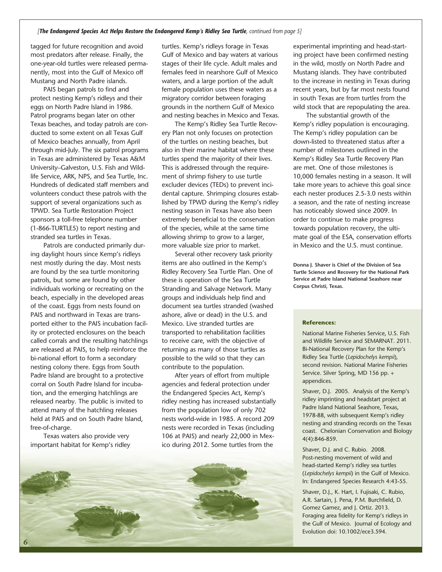tagged for future recognition and avoid most predators after release. Finally, the one-year-old turtles were released permanently, most into the Gulf of Mexico off Mustang and North Padre islands.

PAIS began patrols to find and protect nesting Kemp's ridleys and their eggs on North Padre Island in 1986. Patrol programs began later on other Texas beaches, and today patrols are conducted to some extent on all Texas Gulf of Mexico beaches annually, from April through mid-July. The six patrol programs in Texas are administered by Texas A&M University–Galveston, U.S. Fish and Wildlife Service, ARK, NPS, and Sea Turtle, Inc. Hundreds of dedicated staff members and volunteers conduct these patrols with the support of several organizations such as TPWD. Sea Turtle Restoration Project sponsors a toll-free telephone number (1-866-TURTLE5) to report nesting and stranded sea turtles in Texas.

Patrols are conducted primarily during daylight hours since Kemp's ridleys nest mostly during the day. Most nests are found by the sea turtle monitoring patrols, but some are found by other individuals working or recreating on the beach, especially in the developed areas of the coast. Eggs from nests found on PAIS and northward in Texas are transported either to the PAIS incubation facility or protected enclosures on the beach called corrals and the resulting hatchlings are released at PAIS, to help reinforce the bi-national effort to form a secondary nesting colony there. Eggs from South Padre Island are brought to a protective corral on South Padre Island for incubation, and the emerging hatchlings are released nearby. The public is invited to attend many of the hatchling releases held at PAIS and on South Padre Island, free-of-charge.

Texas waters also provide very important habitat for Kemp's ridley

turtles. Kemp's ridleys forage in Texas Gulf of Mexico and bay waters at various stages of their life cycle. Adult males and females feed in nearshore Gulf of Mexico waters, and a large portion of the adult female population uses these waters as a migratory corridor between foraging grounds in the northern Gulf of Mexico and nesting beaches in Mexico and Texas.

The Kemp's Ridley Sea Turtle Recovery Plan not only focuses on protection of the turtles on nesting beaches, but also in their marine habitat where these turtles spend the majority of their lives. This is addressed through the requirement of shrimp fishery to use turtle excluder devices (TEDs) to prevent incidental capture. Shrimping closures established by TPWD during the Kemp's ridley nesting season in Texas have also been extremely beneficial to the conservation of the species, while at the same time allowing shrimp to grow to a larger, more valuable size prior to market.

Several other recovery task priority items are also outlined in the Kemp's Ridley Recovery Sea Turtle Plan. One of these is operation of the Sea Turtle Stranding and Salvage Network. Many groups and individuals help find and document sea turtles stranded (washed ashore, alive or dead) in the U.S. and Mexico. Live stranded turtles are transported to rehabilitation facilities to receive care, with the objective of returning as many of those turtles as possible to the wild so that they can contribute to the population.

After years of effort from multiple agencies and federal protection under the Endangered Species Act, Kemp's ridley nesting has increased substantially from the population low of only 702 nests world-wide in 1985. A record 209 nests were recorded in Texas (including 106 at PAIS) and nearly 22,000 in Mexico during 2012. Some turtles from the



experimental imprinting and head-starting project have been confirmed nesting in the wild, mostly on North Padre and Mustang islands. They have contributed to the increase in nesting in Texas during recent years, but by far most nests found in south Texas are from turtles from the wild stock that are repopulating the area.

The substantial growth of the Kemp's ridley population is encouraging. The Kemp's ridley population can be down-listed to threatened status after a number of milestones outlined in the Kemp's Ridley Sea Turtle Recovery Plan are met. One of those milestones is 10,000 females nesting in a season. It will take more years to achieve this goal since each nester produces 2.5-3.0 nests within a season, and the rate of nesting increase has noticeably slowed since 2009. In order to continue to make progress towards population recovery, the ultimate goal of the ESA, conservation efforts in Mexico and the U.S. must continue.

**Donna J. Shaver is Chief of the Division of Sea Turtle Science and Recovery for the National Park Service at Padre Island National Seashore near Corpus Christi, Texas.**

#### **References:**

National Marine Fisheries Service, U.S. Fish and Wildlife Service and SEMARNAT. 2011. Bi-National Recovery Plan for the Kemp's Ridley Sea Turtle (*Lepidochelys kempii*), second revision. National Marine Fisheries Service. Silver Spring, MD 156 pp. + appendices.

Shaver, D.J. 2005. Analysis of the Kemp's ridley imprinting and headstart project at Padre Island National Seashore, Texas, 1978-88, with subsequent Kemp's ridley nesting and stranding records on the Texas coast. Chelonian Conservation and Biology 4(4):846-859.

Shaver, D.J. and C. Rubio. 2008. Post-nesting movement of wild and head-started Kemp's ridley sea turtles (*Lepidochelys kempii*) in the Gulf of Mexico. In: Endangered Species Research 4:43-55.

Shaver, D.J., K. Hart, I. Fujisaki, C. Rubio, A.R. Sartain, J. Pena, P.M. Burchfield, D. Gomez Gamez, and J. Ortiz. 2013. Foraging area fidelity for Kemp's ridleys in the Gulf of Mexico. Journal of Ecology and Evolution doi: 10.1002/ece3.594.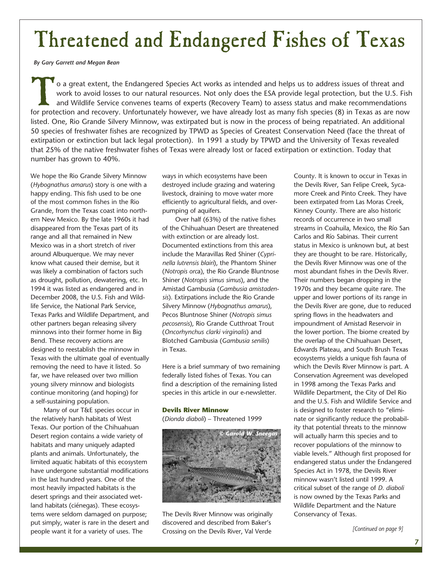## Threatened and Endangered Fishes of Texas

*By Gary Garrett and Megan Bean*

To a great extent, the Endangered Species Act works as intended and helps us to address issues of threat and work to avoid losses to our natural resources. Not only does the ESA provide legal protection, but the U.S. Fig. work to avoid losses to our natural resources. Not only does the ESA provide legal protection, but the U.S. Fish and Wildlife Service convenes teams of experts (Recovery Team) to assess status and make recommendations for protection and recovery. Unfortunately however, we have already lost as many fish species (8) in Texas as are now listed. One, Rio Grande Silvery Minnow, was extirpated but is now in the process of being repatriated. An additional 50 species of freshwater fishes are recognized by TPWD as Species of Greatest Conservation Need (face the threat of extirpation or extinction but lack legal protection). In 1991 a study by TPWD and the University of Texas revealed that 25% of the native freshwater fishes of Texas were already lost or faced extirpation or extinction. Today that number has grown to 40%.

We hope the Rio Grande Silvery Minnow (*Hybognathus amarus*) story is one with a happy ending. This fish used to be one of the most common fishes in the Rio Grande, from the Texas coast into northern New Mexico. By the late 1960s it had disappeared from the Texas part of its range and all that remained in New Mexico was in a short stretch of river around Albuquerque. We may never know what caused their demise, but it was likely a combination of factors such as drought, pollution, dewatering, etc. In 1994 it was listed as endangered and in December 2008, the U.S. Fish and Wildlife Service, the National Park Service, Texas Parks and Wildlife Department, and other partners began releasing silvery minnows into their former home in Big Bend. These recovery actions are designed to reestablish the minnow in Texas with the ultimate goal of eventually removing the need to have it listed. So far, we have released over two million young silvery minnow and biologists continue monitoring (and hoping) for a self-sustaining population.

Many of our T&E species occur in the relatively harsh habitats of West Texas. Our portion of the Chihuahuan Desert region contains a wide variety of habitats and many uniquely adapted plants and animals. Unfortunately, the limited aquatic habitats of this ecosystem have undergone substantial modifications in the last hundred years. One of the most heavily impacted habitats is the desert springs and their associated wetland habitats (ciénegas). These ecosystems were seldom damaged on purpose; put simply, water is rare in the desert and people want it for a variety of uses. The

ways in which ecosystems have been destroyed include grazing and watering livestock, draining to move water more efficiently to agricultural fields, and overpumping of aquifers.

Over half (63%) of the native fishes of the Chihuahuan Desert are threatened with extinction or are already lost. Documented extinctions from this area include the Maravillas Red Shiner (*Cyprinella lutrensis blairi*), the Phantom Shiner (*Notropis orc*a), the Rio Grande Bluntnose Shiner (*Notropis simus simus*), and the Amistad Gambusia (*Gambusia amistadensis*). Extirpations include the Rio Grande Silvery Minnow (*Hybognathus amarus*), Pecos Bluntnose Shiner (*Notropis simus pecosensis*), Rio Grande Cutthroat Trout (*Oncorhynchus clarki virginalis*) and Blotched Gambusia (*Gambusia senilis*) in Texas.

Here is a brief summary of two remaining federally listed fishes of Texas. You can find a description of the remaining listed species in this article in our e-newsletter.

### **Devils River Minnow**

(*Dionda diaboli*) – Threatened 1999



The Devils River Minnow was originally discovered and described from Baker's Crossing on the Devils River, Val Verde

County. It is known to occur in Texas in the Devils River, San Felipe Creek, Sycamore Creek and Pinto Creek. They have been extirpated from Las Moras Creek, Kinney County. There are also historic records of occurrence in two small streams in Coahuila, Mexico, the Río San Carlos and Río Sabinas. Their current status in Mexico is unknown but, at best they are thought to be rare. Historically, the Devils River Minnow was one of the most abundant fishes in the Devils River. Their numbers began dropping in the 1970s and they became quite rare. The upper and lower portions of its range in the Devils River are gone, due to reduced spring flows in the headwaters and impoundment of Amistad Reservoir in the lower portion. The biome created by the overlap of the Chihuahuan Desert, Edwards Plateau, and South Brush Texas ecosystems yields a unique fish fauna of which the Devils River Minnow is part. A Conservation Agreement was developed in 1998 among the Texas Parks and Wildlife Department, the City of Del Rio and the U.S. Fish and Wildlife Service and is designed to foster research to "eliminate or significantly reduce the probability that potential threats to the minnow will actually harm this species and to recover populations of the minnow to viable levels." Although first proposed for endangered status under the Endangered Species Act in 1978, the Devils River minnow wasn't listed until 1999. A critical subset of the range of *D. diaboli* is now owned by the Texas Parks and Wildlife Department and the Nature Conservancy of Texas.

*[Continued on page 9]*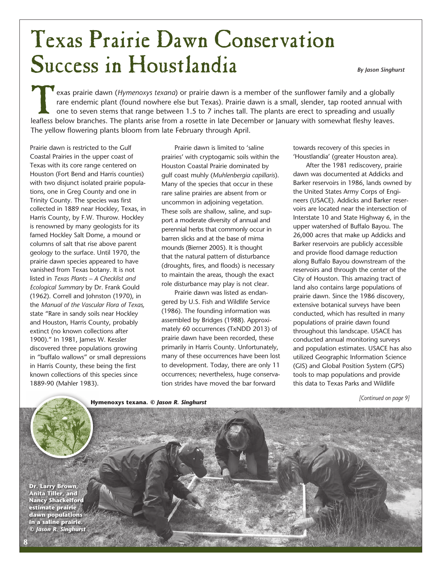## Texas Prairie Dawn Conservation Success in Houstlandia *By Jason Singhurst*

Exas prairie dawn (*Hymenoxys texana*) or prairie dawn is a member of the sunflower family and a globally rare endemic plant (found nowhere else but Texas). Prairie dawn is a small, slender, tap rooted annual with one to s rare endemic plant (found nowhere else but Texas). Prairie dawn is a small, slender, tap rooted annual with one to seven stems that range between 1.5 to 7 inches tall. The plants are erect to spreading and usually leafless below branches. The plants arise from a rosette in late December or January with somewhat fleshy leaves. The yellow flowering plants bloom from late February through April.

Prairie dawn is restricted to the Gulf Coastal Prairies in the upper coast of Texas with its core range centered on Houston (Fort Bend and Harris counties) with two disjunct isolated prairie populations, one in Greg County and one in Trinity County. The species was first collected in 1889 near Hockley, Texas, in Harris County, by F.W. Thurow. Hockley is renowned by many geologists for its famed Hockley Salt Dome, a mound or columns of salt that rise above parent geology to the surface. Until 1970, the prairie dawn species appeared to have vanished from Texas botany. It is not listed in *Texas Plants – A Checklist and Ecological Summary* by Dr. Frank Gould (1962). Correll and Johnston (1970), in the *Manual of the Vascular Flora of Texas,*  state "Rare in sandy soils near Hockley and Houston, Harris County, probably extinct (no known collections after 1900)." In 1981, James W. Kessler discovered three populations growing in "buffalo wallows" or small depressions in Harris County, these being the first known collections of this species since 1889-90 (Mahler 1983).

Prairie dawn is limited to 'saline prairies' with cryptogamic soils within the Houston Coastal Prairie dominated by gulf coast muhly (*Muhlenbergia capillaris*). Many of the species that occur in these rare saline prairies are absent from or uncommon in adjoining vegetation. These soils are shallow, saline, and support a moderate diversity of annual and perennial herbs that commonly occur in barren slicks and at the base of mima mounds (Bierner 2005). It is thought that the natural pattern of disturbance (droughts, fires, and floods) is necessary to maintain the areas, though the exact role disturbance may play is not clear.

Prairie dawn was listed as endangered by U.S. Fish and Wildlife Service (1986). The founding information was assembled by Bridges (1988). Approximately 60 occurrences (TxNDD 2013) of prairie dawn have been recorded, these primarily in Harris County. Unfortunately, many of these occurrences have been lost to development. Today, there are only 11 occurrences; nevertheless, huge conservation strides have moved the bar forward

towards recovery of this species in 'Houstlandia' (greater Houston area).

After the 1981 rediscovery, prairie dawn was documented at Addicks and Barker reservoirs in 1986, lands owned by the United States Army Corps of Engineers (USACE). Addicks and Barker reservoirs are located near the intersection of Interstate 10 and State Highway 6, in the upper watershed of Buffalo Bayou. The 26,000 acres that make up Addicks and Barker reservoirs are publicly accessible and provide flood damage reduction along Buffalo Bayou downstream of the reservoirs and through the center of the City of Houston. This amazing tract of land also contains large populations of prairie dawn. Since the 1986 discovery, extensive botanical surveys have been conducted, which has resulted in many populations of prairie dawn found throughout this landscape. USACE has conducted annual monitoring surveys and population estimates. USACE has also utilized Geographic Information Science (GIS) and Global Position System (GPS) tools to map populations and provide this data to Texas Parks and Wildlife

*[Continued on page 9]*

**Dr. Larry Brown, Anita Tiller, and Nancy Shackelford estimate prairie dawn populations in a saline prairie.** *© Jason R. Singhurst*

**8**

#### **Hymenoxys texana***. © Jason R. Singhurst*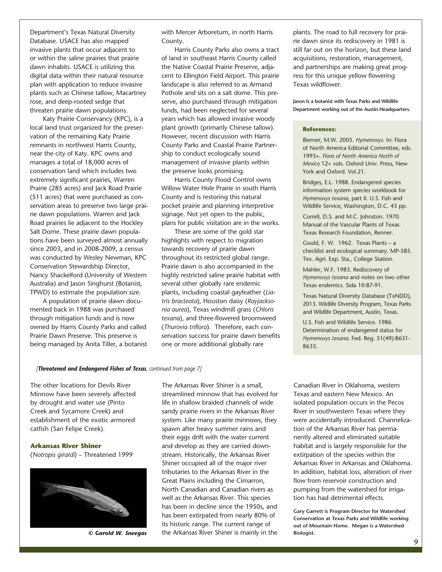Department's Texas Natural Diversity Database. USACE has also mapped invasive plants that occur adjacent to or within the saline prairies that prairie dawn inhabits. USACE is utilizing this digital data within their natural resource plan with application to reduce invasive plants such as Chinese tallow, Macartney rose, and deep-rooted sedge that threaten prairie dawn populations.

Katy Prairie Conservancy (KPC), is a local land trust organized for the preservation of the remaining Katy Prairie remnants in northwest Harris County, near the city of Katy. KPC owns and manages a total of 18,000 acres of conservation land which includes two extremely significant prairies, Warren Prairie (285 acres) and Jack Road Prairie (511 acres) that were purchased as conservation areas to preserve two large prairie dawn populations. Warren and Jack Road prairies lie adjacent to the Hockley Salt Dome. These prairie dawn populations have been surveyed almost annually since 2003, and in 2008-2009, a census was conducted by Wesley Newman, KPC Conservation Stewardship Director, Nancy Shackelford (University of Western Australia) and Jason Singhurst (Botanist, TPWD) to estimate the population size.

A population of prairie dawn documented back in 1988 was purchased through mitigation funds and is now owned by Harris County Parks and called Prairie Dawn Preserve. This preserve is being managed by Anita Tiller, a botanist with Mercer Arboretum, in north Harris County.

Harris County Parks also owns a tract of land in southeast Harris County called the Native Coastal Prairie Preserve, adjacent to Ellington Field Airport. This prairie landscape is also referred to as Armand Pothole and sits on a salt dome. This preserve, also purchased through mitigation funds, had been neglected for several years which has allowed invasive woody plant growth (primarily Chinese tallow). However, recent discussion with Harris County Parks and Coastal Prairie Partnership to conduct ecologically sound management of invasive plants within the preserve looks promising.

Harris County Flood Control owns Willow Water Hole Prairie in south Harris County and is restoring this natural pocket prairie and planning interpretive signage. Not yet open to the public, plans for public visitation are in the works.

These are some of the gold star highlights with respect to migration towards recovery of prairie dawn throughout its restricted global range. Prairie dawn is also accompanied in the highly restricted saline prairie habitat with several other globally rare endemic plants, including coastal gayfeather (*Liatris bracteata*), Houston daisy (*Rayjacksonia aurea*), Texas windmill grass (*Chloris texana*), and three-flowered broomweed (*Thurovia triflora*). Therefore, each conservation success for prairie dawn benefits one or more additional globally rare

plants. The road to full recovery for prairie dawn since its rediscovery in 1981 is still far out on the horizon, but these land acquisitions, restoration, management, and partnerships are making great progress for this unique yellow flowering Texas wildflower.

**Jason Is a botanist with Texas Parks and Wildlife Department working out of the Austin Headquarters.**

### **References:**

Bierner, M.W. 2005. *Hymenoxys*. In: Flora of North America Editorial Committee, eds. 1993+. *Flora of North America North of Mexico* 12+ vols. Oxford Univ. Press, New York and Oxford. Vol.21.

Bridges, E.L. 1988. Endangered species information system species workbook for *Hymenoxys texana*, part II. U.S. Fish and Wildlife Service, Washington, D.C. 43 pp.

Correll, D.S. and M.C. Johnston. 1970. Manual of the Vascular Plants of Texas. Texas Research Foundation, Renner.

Gould, F. W. 1962. Texas Plants – a checklist and ecological summary. MP-585. Tex. Agri. Exp. Sta., College Station.

Mahler, W.F. 1983. Rediscovery of *Hymenoxys texana* and notes on two other Texas endemics. Sida 10:87-91.

Texas Natural Diversity Database (TxNDD), 2013. Wildlife Diversity Program, Texas Parks and Wildlife Department, Austin, Texas.

U.S. Fish and Wildlife Service. 1986. Determination of endangered status for *Hymenoxys texana*. Fed. Reg. 51(49):8631- 8633.

### *[Threatened and Endangered Fishes of Texas, continued from page 7]*

The other locations for Devils River Minnow have been severely affected by drought and water use (Pinto Creek and Sycamore Creek) and establishment of the exotic armored catfish (San Felipe Creek).

### **Arkansas River Shiner**  (*Notropis girardi*) – Threatened 1999



The Arkansas River Shiner is a small, streamlined minnow that has evolved for life in shallow braided channels of wide sandy prairie rivers in the Arkansas River system. Like many prairie minnows, they spawn after heavy summer rains and their eggs drift with the water current and develop as they are carried downstream. Historically, the Arkansas River Shiner occupied all of the major river tributaries to the Arkansas River in the Great Plains including the Cimarron, North Canadian and Canadian rivers as well as the Arkansas River. This species has been in decline since the 1950s, and has been extirpated from nearly 80% of its historic range. The current range of **© Garold W. Sneegas** the Arkansas River Shiner is mainly in the Biologist.

Canadian River in Oklahoma, western Texas and eastern New Mexico. An isolated population occurs in the Pecos River in southwestern Texas where they were accidentally introduced. Channelization of the Arkansas River has permanently altered and eliminated suitable habitat and is largely responsible for the extirpation of the species within the Arkansas River in Arkansas and Oklahoma. In addition, habitat loss, alteration of river flow from reservoir construction and pumping from the watershed for irrigation has had detrimental effects.

**Gary Garrett is Program Director for Watershed Conservation at Texas Parks and Wildlife working out of Mountain Home. Megan is a Watershed**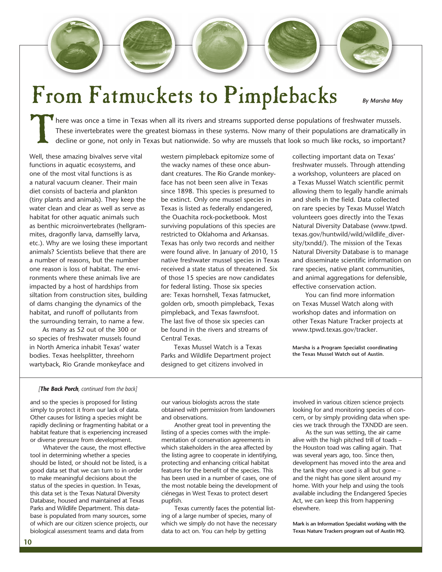## From Fatmuckets to Pimplebacks *By Marsha May*

There was once a time in Texas when all its rivers and streams supported dense populations of freshwater mussels.<br>These invertebrates were the greatest biomass in these systems. Now many of their populations are dramatical These invertebrates were the greatest biomass in these systems. Now many of their populations are dramatically in decline or gone, not only in Texas but nationwide. So why are mussels that look so much like rocks, so important?

Well, these amazing bivalves serve vital functions in aquatic ecosystems, and one of the most vital functions is as a natural vacuum cleaner. Their main diet consists of bacteria and plankton (tiny plants and animals). They keep the water clean and clear as well as serve as habitat for other aquatic animals such as benthic microinvertebrates (hellgrammites, dragonfly larva, damselfly larva, etc.). Why are we losing these important animals? Scientists believe that there are a number of reasons, but the number one reason is loss of habitat. The environments where these animals live are impacted by a host of hardships from siltation from construction sites, building of dams changing the dynamics of the habitat, and runoff of pollutants from the surrounding terrain, to name a few.

As many as 52 out of the 300 or so species of freshwater mussels found in North America inhabit Texas' water bodies. Texas heelsplitter, threehorn wartyback, Rio Grande monkeyface and western pimpleback epitomize some of the wacky names of these once abundant creatures. The Rio Grande monkeyface has not been seen alive in Texas since 1898. This species is presumed to be extinct. Only one mussel species in Texas is listed as federally endangered, the Ouachita rock-pocketbook. Most surviving populations of this species are restricted to Oklahoma and Arkansas. Texas has only two records and neither were found alive. In January of 2010, 15 native freshwater mussel species in Texas received a state status of threatened. Six of those 15 species are now candidates for federal listing. Those six species are: Texas hornshell, Texas fatmucket, golden orb, smooth pimpleback, Texas pimpleback, and Texas fawnsfoot. The last five of those six species can be found in the rivers and streams of Central Texas.

Texas Mussel Watch is a Texas Parks and Wildlife Department project designed to get citizens involved in

collecting important data on Texas' freshwater mussels. Through attending a workshop, volunteers are placed on a Texas Mussel Watch scientific permit allowing them to legally handle animals and shells in the field. Data collected on rare species by Texas Mussel Watch volunteers goes directly into the Texas Natural Diversity Database (www.tpwd. texas.gov/huntwild/wild/wildlife\_diversity/txndd/). The mission of the Texas Natural Diversity Database is to manage and disseminate scientific information on rare species, native plant communities, and animal aggregations for defensible, effective conservation action.

You can find more information on Texas Mussel Watch along with workshop dates and information on other Texas Nature Tracker projects at www.tpwd.texas.gov/tracker.

**Marsha is a Program Specialist coordinating the Texas Mussel Watch out of Austin.**

#### *[The Back Porch, continued from the back]*

and so the species is proposed for listing simply to protect it from our lack of data. Other causes for listing a species might be rapidly declining or fragmenting habitat or a habitat feature that is experiencing increased or diverse pressure from development.

Whatever the cause, the most effective tool in determining whether a species should be listed, or should not be listed, is a good data set that we can turn to in order to make meaningful decisions about the status of the species in question. In Texas, this data set is the Texas Natural Diversity Database, housed and maintained at Texas Parks and Wildlife Department. This database is populated from many sources, some of which are our citizen science projects, our biological assessment teams and data from

our various biologists across the state obtained with permission from landowners and observations.

Another great tool in preventing the listing of a species comes with the implementation of conservation agreements in which stakeholders in the area affected by the listing agree to cooperate in identifying, protecting and enhancing critical habitat features for the benefit of the species. This has been used in a number of cases, one of the most notable being the development of ciénegas in West Texas to protect desert pupfish.

Texas currently faces the potential listing of a large number of species, many of which we simply do not have the necessary data to act on. You can help by getting

involved in various citizen science projects looking for and monitoring species of concern, or by simply providing data when species we track through the TXNDD are seen.

As the sun was setting, the air came alive with the high pitched trill of toads – the Houston toad was calling again. That was several years ago, too. Since then, development has moved into the area and the tank they once used is all but gone – and the night has gone silent around my home. With your help and using the tools available including the Endangered Species Act, we can keep this from happening elsewhere.

**Mark is an Information Specialist working with the Texas Nature Trackers program out of Austin HQ.**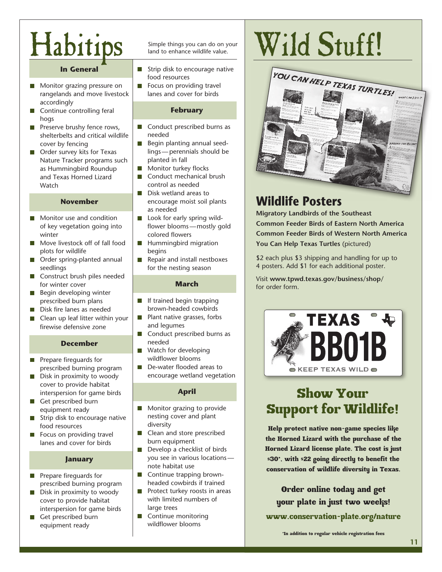# Habitips Simple things you can do on your

### **In General**

- **Monitor grazing pressure on** rangelands and move livestock accordingly
- Continue controlling feral  $\Box$ hogs
- Preserve brushy fence rows, shelterbelts and critical wildlife cover by fencing
- **Order survey kits for Texas** Nature Tracker programs such as Hummingbird Roundup and Texas Horned Lizard **Watch**

### **November**

- Monitor use and condition **The State** of key vegetation going into winter
- Move livestock off of fall food plots for wildlife
- Order spring-planted annual seedlings
- Construct brush piles needed for winter cover
- $\blacksquare$  Begin developing winter prescribed burn plans
- Disk fire lanes as needed  $\sim$
- Clean up leaf litter within your firewise defensive zone

### **December**

- Prepare fireguards for  $\overline{\phantom{a}}$ prescribed burning program
- **The State** Disk in proximity to woody cover to provide habitat interspersion for game birds
- Get prescribed burn  $\sim$ equipment ready
- $\blacksquare$  Strip disk to encourage native food resources
- $\blacksquare$  Focus on providing travel lanes and cover for birds

### **January**

- **Prepare fireguards for** prescribed burning program
- $\blacksquare$  Disk in proximity to woody cover to provide habitat interspersion for game birds
- П Get prescribed burn equipment ready

- Strip disk to encourage native food resources
- П Focus on providing travel lanes and cover for birds

### **February**

- $\Box$ Conduct prescribed burns as needed
- Begin planting annual seed- $\Box$ lings — perennials should be planted in fall
- Monitor turkey flocks
- m, Conduct mechanical brush control as needed
- Disk wetland areas to **The State** encourage moist soil plants as needed
- Look for early spring wild- $\mathcal{L}_{\mathcal{A}}$ flower blooms —mostly gold colored flowers
- $\Box$ Hummingbird migration begins
- Repair and install nestboxes  $\Box$ for the nesting season

### **March**

- $\Box$ If trained begin trapping brown-headed cowbirds
- $\Box$ Plant native grasses, forbs and legumes
- $\Box$ Conduct prescribed burns as needed
- Watch for developing П wildflower blooms
- П De-water flooded areas to encourage wetland vegetation

### **April**

- Monitor grazing to provide nesting cover and plant diversity
- Clean and store prescribed burn equipment
- П Develop a checklist of birds you see in various locations note habitat use
- $\Box$ Continue trapping brownheaded cowbirds if trained
- Protect turkey roosts in areas П with limited numbers of large trees
- **Continue monitoring** wildflower blooms

# Wild Stuff!



### **Wildlife Posters**

**Migratory Landbirds of the Southeast Common Feeder Birds of Eastern North America Common Feeder Birds of Western North America You Can Help Texas Turtles** (pictured)

\$2 each plus \$3 shipping and handling for up to 4 posters. Add \$1 for each additional poster.

Visit **www.tpwd.texas.gov/business/shop/** for order form.



### Show Your Support for Wildlife!

Help protect native non-game species like the Horned Lizard with the purchase of the Horned Lizard license plate. The cost is just \$30\*, with \$22 going directly to benefit the conservation of wildlife diversity in Texas.

Order online today and get your plate in just two weeks! www.conservation-plate.org/nature

\*In addition to regular vehicle registration fees